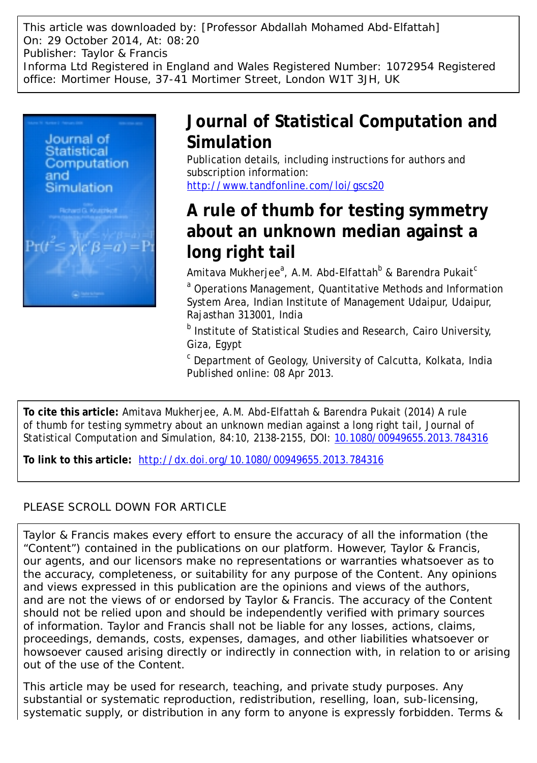This article was downloaded by: [Professor Abdallah Mohamed Abd-Elfattah] On: 29 October 2014, At: 08:20 Publisher: Taylor & Francis Informa Ltd Registered in England and Wales Registered Number: 1072954 Registered office: Mortimer House, 37-41 Mortimer Street, London W1T 3JH, UK



# **Journal of Statistical Computation and Simulation**

Publication details, including instructions for authors and subscription information: <http://www.tandfonline.com/loi/gscs20>

# **A rule of thumb for testing symmetry about an unknown median against a long right tail**

Amitava Mukherjee $^{\rm a}$ , A.M. Abd-Elfattah $^{\rm b}$  & Barendra Pukait $^{\rm c}$ 

<sup>a</sup> Operations Management, Quantitative Methods and Information System Area, Indian Institute of Management Udaipur, Udaipur, Rajasthan 313001, India

b Institute of Statistical Studies and Research, Cairo University, Giza, Egypt

c Department of Geology, University of Calcutta, Kolkata, India Published online: 08 Apr 2013.

**To cite this article:** Amitava Mukherjee, A.M. Abd-Elfattah & Barendra Pukait (2014) A rule of thumb for testing symmetry about an unknown median against a long right tail, Journal of Statistical Computation and Simulation, 84:10, 2138-2155, DOI: [10.1080/00949655.2013.784316](http://www.tandfonline.com/action/showCitFormats?doi=10.1080/00949655.2013.784316)

**To link to this article:** <http://dx.doi.org/10.1080/00949655.2013.784316>

# PLEASE SCROLL DOWN FOR ARTICLE

Taylor & Francis makes every effort to ensure the accuracy of all the information (the "Content") contained in the publications on our platform. However, Taylor & Francis, our agents, and our licensors make no representations or warranties whatsoever as to the accuracy, completeness, or suitability for any purpose of the Content. Any opinions and views expressed in this publication are the opinions and views of the authors, and are not the views of or endorsed by Taylor & Francis. The accuracy of the Content should not be relied upon and should be independently verified with primary sources of information. Taylor and Francis shall not be liable for any losses, actions, claims, proceedings, demands, costs, expenses, damages, and other liabilities whatsoever or howsoever caused arising directly or indirectly in connection with, in relation to or arising out of the use of the Content.

This article may be used for research, teaching, and private study purposes. Any substantial or systematic reproduction, redistribution, reselling, loan, sub-licensing, systematic supply, or distribution in any form to anyone is expressly forbidden. Terms &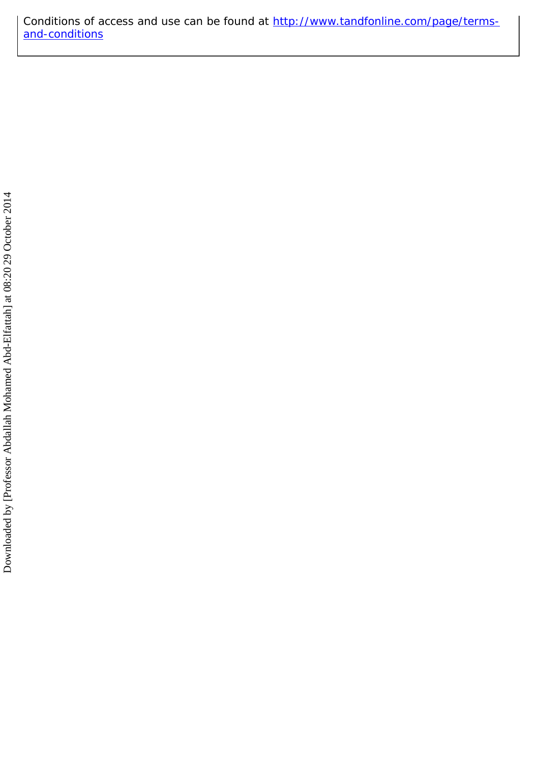Conditions of access and use can be found at [http://www.tandfonline.com/page/terms](http://www.tandfonline.com/page/terms-and-conditions)[and-conditions](http://www.tandfonline.com/page/terms-and-conditions)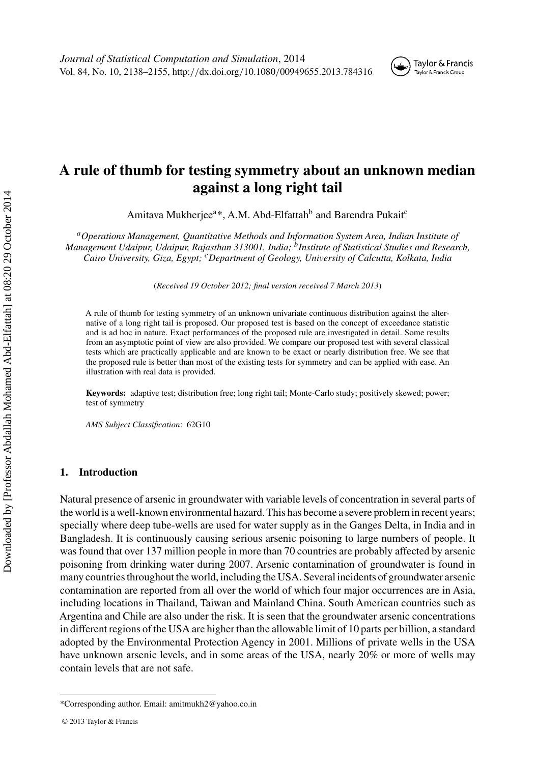

# **A rule of thumb for testing symmetry about an unknown median against a long right tail**

Amitava Mukherjee<sup>a\*</sup>, A.M. Abd-Elfattah<sup>b</sup> and Barendra Pukait<sup>c</sup>

*aOperations Management, Quantitative Methods and Information System Area, Indian Institute of Management Udaipur, Udaipur, Rajasthan 313001, India; bInstitute of Statistical Studies and Research, Cairo University, Giza, Egypt; cDepartment of Geology, University of Calcutta, Kolkata, India*

(*Received 19 October 2012; final version received 7 March 2013*)

A rule of thumb for testing symmetry of an unknown univariate continuous distribution against the alternative of a long right tail is proposed. Our proposed test is based on the concept of exceedance statistic and is ad hoc in nature. Exact performances of the proposed rule are investigated in detail. Some results from an asymptotic point of view are also provided. We compare our proposed test with several classical tests which are practically applicable and are known to be exact or nearly distribution free. We see that the proposed rule is better than most of the existing tests for symmetry and can be applied with ease. An illustration with real data is provided.

**Keywords:** adaptive test; distribution free; long right tail; Monte-Carlo study; positively skewed; power; test of symmetry

*AMS Subject Classification*: 62G10

## **1. Introduction**

Natural presence of arsenic in groundwater with variable levels of concentration in several parts of the world is a well-known environmental hazard. This has become a severe problem in recent years; specially where deep tube-wells are used for water supply as in the Ganges Delta, in India and in Bangladesh. It is continuously causing serious arsenic poisoning to large numbers of people. It was found that over 137 million people in more than 70 countries are probably affected by arsenic poisoning from drinking water during 2007. Arsenic contamination of groundwater is found in many countries throughout the world, including the USA. Several incidents of groundwater arsenic contamination are reported from all over the world of which four major occurrences are in Asia, including locations in Thailand, Taiwan and Mainland China. South American countries such as Argentina and Chile are also under the risk. It is seen that the groundwater arsenic concentrations in different regions of the USA are higher than the allowable limit of 10 parts per billion, a standard adopted by the Environmental Protection Agency in 2001. Millions of private wells in the USA have unknown arsenic levels, and in some areas of the USA, nearly 20% or more of wells may contain levels that are not safe.

<sup>\*</sup>Corresponding author. Email: amitmukh2@yahoo.co.in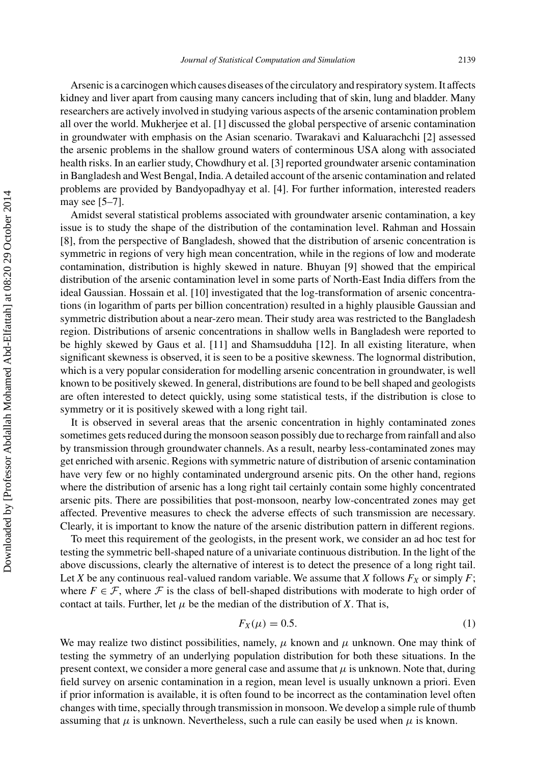Arsenic is a carcinogen which causes diseases of the circulatory and respiratory system. It affects kidney and liver apart from causing many cancers including that of skin, lung and bladder. Many researchers are actively involved in studying various aspects of the arsenic contamination problem all over the world. Mukherjee et al. [\[1](#page-17-0)] discussed the global perspective of arsenic contamination in groundwater with emphasis on the Asian scenario. Twarakavi and Kaluarachchi [\[2](#page-17-0)] assessed the arsenic problems in the shallow ground waters of conterminous USA along with associated health risks. In an earlier study, Chowdhury et al. [\[3](#page-18-0)] reported groundwater arsenic contamination in Bangladesh and West Bengal, India.A detailed account of the arsenic contamination and related problems are provided by Bandyopadhyay et al. [\[4](#page-18-0)]. For further information, interested readers may see [\[5–7\]](#page-18-0).

Amidst several statistical problems associated with groundwater arsenic contamination, a key issue is to study the shape of the distribution of the contamination level. Rahman and Hossain [\[8\]](#page-18-0), from the perspective of Bangladesh, showed that the distribution of arsenic concentration is symmetric in regions of very high mean concentration, while in the regions of low and moderate contamination, distribution is highly skewed in nature. Bhuyan [\[9\]](#page-18-0) showed that the empirical distribution of the arsenic contamination level in some parts of North-East India differs from the ideal Gaussian. Hossain et al. [\[10\]](#page-18-0) investigated that the log-transformation of arsenic concentrations (in logarithm of parts per billion concentration) resulted in a highly plausible Gaussian and symmetric distribution about a near-zero mean. Their study area was restricted to the Bangladesh region. Distributions of arsenic concentrations in shallow wells in Bangladesh were reported to be highly skewed by Gaus et al. [\[11](#page-18-0)] and Shamsudduha [\[12](#page-18-0)]. In all existing literature, when significant skewness is observed, it is seen to be a positive skewness. The lognormal distribution, which is a very popular consideration for modelling arsenic concentration in groundwater, is well known to be positively skewed. In general, distributions are found to be bell shaped and geologists are often interested to detect quickly, using some statistical tests, if the distribution is close to symmetry or it is positively skewed with a long right tail.

It is observed in several areas that the arsenic concentration in highly contaminated zones sometimes gets reduced during the monsoon season possibly due to recharge from rainfall and also by transmission through groundwater channels. As a result, nearby less-contaminated zones may get enriched with arsenic. Regions with symmetric nature of distribution of arsenic contamination have very few or no highly contaminated underground arsenic pits. On the other hand, regions where the distribution of arsenic has a long right tail certainly contain some highly concentrated arsenic pits. There are possibilities that post-monsoon, nearby low-concentrated zones may get affected. Preventive measures to check the adverse effects of such transmission are necessary. Clearly, it is important to know the nature of the arsenic distribution pattern in different regions.

To meet this requirement of the geologists, in the present work, we consider an ad hoc test for testing the symmetric bell-shaped nature of a univariate continuous distribution. In the light of the above discussions, clearly the alternative of interest is to detect the presence of a long right tail. Let *X* be any continuous real-valued random variable. We assume that *X* follows  $F_X$  or simply *F*; where  $F \in \mathcal{F}$ , where  $\mathcal{F}$  is the class of bell-shaped distributions with moderate to high order of contact at tails. Further, let  $\mu$  be the median of the distribution of *X*. That is,

$$
F_X(\mu) = 0.5. \tag{1}
$$

We may realize two distinct possibilities, namely,  $\mu$  known and  $\mu$  unknown. One may think of testing the symmetry of an underlying population distribution for both these situations. In the present context, we consider a more general case and assume that  $\mu$  is unknown. Note that, during field survey on arsenic contamination in a region, mean level is usually unknown a priori. Even if prior information is available, it is often found to be incorrect as the contamination level often changes with time, specially through transmission in monsoon. We develop a simple rule of thumb assuming that  $\mu$  is unknown. Nevertheless, such a rule can easily be used when  $\mu$  is known.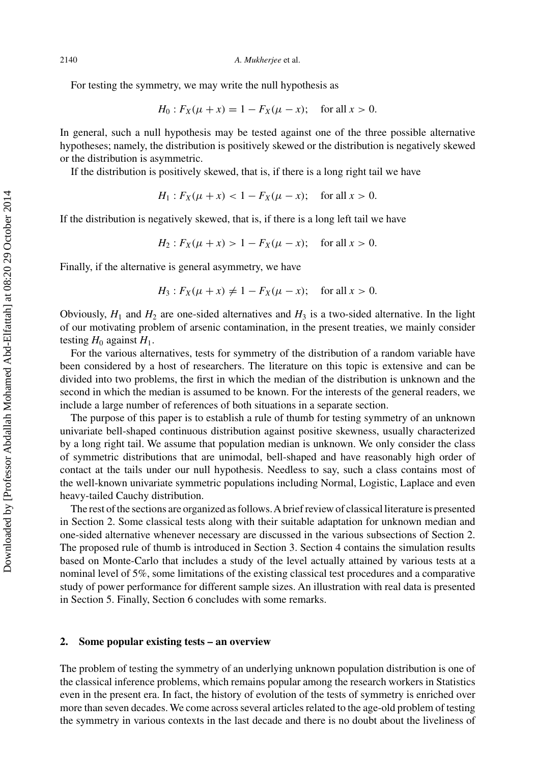For testing the symmetry, we may write the null hypothesis as

$$
H_0: F_X(\mu + x) = 1 - F_X(\mu - x); \text{ for all } x > 0.
$$

In general, such a null hypothesis may be tested against one of the three possible alternative hypotheses; namely, the distribution is positively skewed or the distribution is negatively skewed or the distribution is asymmetric.

If the distribution is positively skewed, that is, if there is a long right tail we have

$$
H_1: F_X(\mu + x) < 1 - F_X(\mu - x); \quad \text{for all } x > 0.
$$

If the distribution is negatively skewed, that is, if there is a long left tail we have

$$
H_2: F_X(\mu + x) > 1 - F_X(\mu - x); \text{ for all } x > 0.
$$

Finally, if the alternative is general asymmetry, we have

$$
H_3: F_X(\mu + x) \neq 1 - F_X(\mu - x);
$$
 for all  $x > 0$ .

Obviously,  $H_1$  and  $H_2$  are one-sided alternatives and  $H_3$  is a two-sided alternative. In the light of our motivating problem of arsenic contamination, in the present treaties, we mainly consider testing  $H_0$  against  $H_1$ .

For the various alternatives, tests for symmetry of the distribution of a random variable have been considered by a host of researchers. The literature on this topic is extensive and can be divided into two problems, the first in which the median of the distribution is unknown and the second in which the median is assumed to be known. For the interests of the general readers, we include a large number of references of both situations in a separate section.

The purpose of this paper is to establish a rule of thumb for testing symmetry of an unknown univariate bell-shaped continuous distribution against positive skewness, usually characterized by a long right tail. We assume that population median is unknown. We only consider the class of symmetric distributions that are unimodal, bell-shaped and have reasonably high order of contact at the tails under our null hypothesis. Needless to say, such a class contains most of the well-known univariate symmetric populations including Normal, Logistic, Laplace and even heavy-tailed Cauchy distribution.

The rest of the sections are organized as follows.A brief review of classical literature is presented in Section 2. Some classical tests along with their suitable adaptation for unknown median and one-sided alternative whenever necessary are discussed in the various subsections of Section 2. The proposed rule of thumb is introduced in Section 3. Section 4 contains the simulation results based on Monte-Carlo that includes a study of the level actually attained by various tests at a nominal level of 5%, some limitations of the existing classical test procedures and a comparative study of power performance for different sample sizes. An illustration with real data is presented in Section 5. Finally, Section 6 concludes with some remarks.

#### **2. Some popular existing tests – an overview**

The problem of testing the symmetry of an underlying unknown population distribution is one of the classical inference problems, which remains popular among the research workers in Statistics even in the present era. In fact, the history of evolution of the tests of symmetry is enriched over more than seven decades. We come across several articles related to the age-old problem of testing the symmetry in various contexts in the last decade and there is no doubt about the liveliness of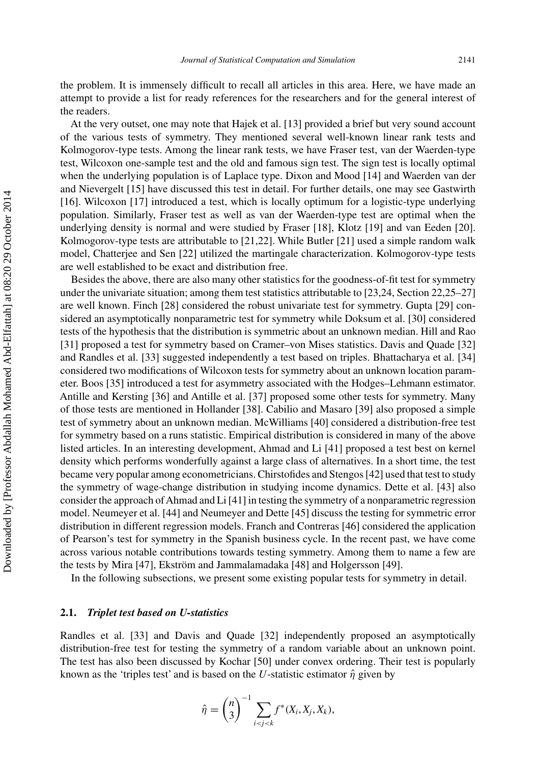the problem. It is immensely difficult to recall all articles in this area. Here, we have made an attempt to provide a list for ready references for the researchers and for the general interest of the readers.

At the very outset, one may note that Hajek et al. [\[13\]](#page-18-0) provided a brief but very sound account of the various tests of symmetry. They mentioned several well-known linear rank tests and Kolmogorov-type tests. Among the linear rank tests, we have Fraser test, van der Waerden-type test, Wilcoxon one-sample test and the old and famous sign test. The sign test is locally optimal when the underlying population is of Laplace type. Dixon and Mood [\[14\]](#page-18-0) and Waerden van der and Nievergelt [\[15](#page-18-0)] have discussed this test in detail. For further details, one may see Gastwirth [\[16\]](#page-18-0). Wilcoxon [\[17\]](#page-18-0) introduced a test, which is locally optimum for a logistic-type underlying population. Similarly, Fraser test as well as van der Waerden-type test are optimal when the underlying density is normal and were studied by Fraser [\[18\]](#page-18-0), Klotz [\[19](#page-18-0)] and van Eeden [\[20](#page-18-0)]. Kolmogorov-type tests are attributable to [\[21,22\]](#page-18-0). While Butler [\[21](#page-18-0)] used a simple random walk model, Chatterjee and Sen [\[22](#page-18-0)] utilized the martingale characterization. Kolmogorov-type tests are well established to be exact and distribution free.

Besides the above, there are also many other statistics for the goodness-of-fit test for symmetry under the univariate situation; among them test statistics attributable to [\[23,24](#page-18-0), Section 22[,25–27\]](#page-18-0) are well known. Finch [\[28](#page-18-0)] considered the robust univariate test for symmetry. Gupta [\[29](#page-18-0)] considered an asymptotically nonparametric test for symmetry while Doksum et al. [\[30](#page-18-0)] considered tests of the hypothesis that the distribution is symmetric about an unknown median. Hill and Rao [\[31\]](#page-18-0) proposed a test for symmetry based on Cramer–von Mises statistics. Davis and Quade [\[32\]](#page-18-0) and Randles et al. [\[33\]](#page-18-0) suggested independently a test based on triples. Bhattacharya et al. [\[34\]](#page-18-0) considered two modifications of Wilcoxon tests for symmetry about an unknown location parameter. Boos [\[35](#page-18-0)] introduced a test for asymmetry associated with the Hodges–Lehmann estimator. Antille and Kersting [\[36](#page-18-0)] and Antille et al. [\[37](#page-18-0)] proposed some other tests for symmetry. Many of those tests are mentioned in Hollander [\[38\]](#page-18-0). Cabilio and Masaro [\[39](#page-18-0)] also proposed a simple test of symmetry about an unknown median. McWilliams [\[40](#page-18-0)] considered a distribution-free test for symmetry based on a runs statistic. Empirical distribution is considered in many of the above listed articles. In an interesting development, Ahmad and Li [\[41](#page-18-0)] proposed a test best on kernel density which performs wonderfully against a large class of alternatives. In a short time, the test became very popular among econometricians. Chirstofides and Stengos [\[42\]](#page-18-0) used that test to study the symmetry of wage-change distribution in studying income dynamics. Dette et al. [\[43\]](#page-18-0) also consider the approach ofAhmad and Li [\[41\]](#page-18-0) in testing the symmetry of a nonparametric regression model. Neumeyer et al. [\[44\]](#page-18-0) and Neumeyer and Dette [\[45\]](#page-18-0) discuss the testing for symmetric error distribution in different regression models. Franch and Contreras [\[46](#page-19-0)] considered the application of Pearson's test for symmetry in the Spanish business cycle. In the recent past, we have come across various notable contributions towards testing symmetry. Among them to name a few are the tests by Mira [\[47](#page-19-0)], Ekström and Jammalamadaka [\[48\]](#page-19-0) and Holgersson [\[49](#page-19-0)].

In the following subsections, we present some existing popular tests for symmetry in detail.

## **2.1.** *Triplet test based on U-statistics*

Randles et al. [\[33](#page-18-0)] and Davis and Quade [\[32](#page-18-0)] independently proposed an asymptotically distribution-free test for testing the symmetry of a random variable about an unknown point. The test has also been discussed by Kochar [\[50\]](#page-19-0) under convex ordering. Their test is popularly known as the 'triples test' and is based on the *U*-statistic estimator  $\hat{\eta}$  given by

$$
\hat{\eta} = \binom{n}{3}^{-1} \sum_{i < j < k} f^*(X_i, X_j, X_k),
$$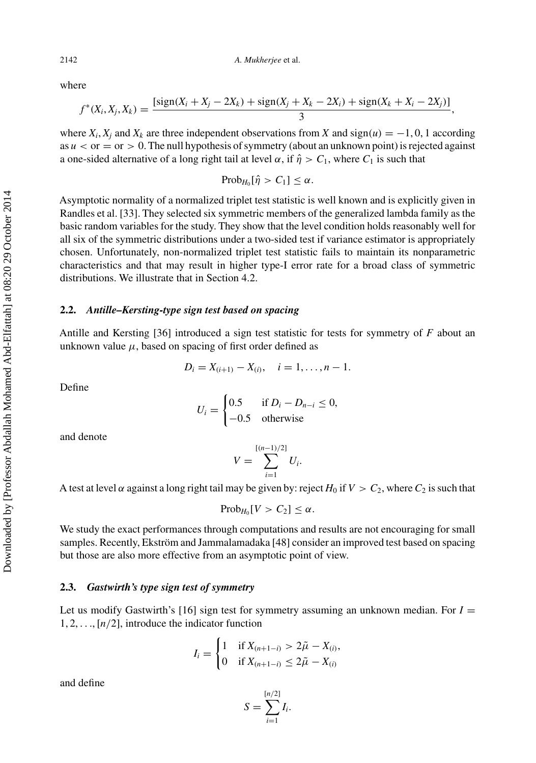where

$$
f^*(X_i, X_j, X_k) = \frac{[\text{sign}(X_i + X_j - 2X_k) + \text{sign}(X_j + X_k - 2X_i) + \text{sign}(X_k + X_i - 2X_j)]}{3},
$$

where  $X_i$ ,  $X_i$  and  $X_k$  are three independent observations from *X* and sign $(u) = -1, 0, 1$  according as  $u <$  or  $=$  or  $> 0$ . The null hypothesis of symmetry (about an unknown point) is rejected against a one-sided alternative of a long right tail at level  $\alpha$ , if  $\hat{\eta} > C_1$ , where  $C_1$  is such that

$$
Prob_{H_0}[\hat{\eta} > C_1] \leq \alpha.
$$

Asymptotic normality of a normalized triplet test statistic is well known and is explicitly given in Randles et al. [\[33\]](#page-18-0). They selected six symmetric members of the generalized lambda family as the basic random variables for the study. They show that the level condition holds reasonably well for all six of the symmetric distributions under a two-sided test if variance estimator is appropriately chosen. Unfortunately, non-normalized triplet test statistic fails to maintain its nonparametric characteristics and that may result in higher type-I error rate for a broad class of symmetric distributions. We illustrate that in Section 4.2.

# **2.2.** *Antille–Kersting-type sign test based on spacing*

Antille and Kersting [\[36](#page-18-0)] introduced a sign test statistic for tests for symmetry of *F* about an unknown value  $\mu$ , based on spacing of first order defined as

$$
D_i = X_{(i+1)} - X_{(i)}, \quad i = 1, \dots, n-1.
$$

Define

$$
U_i = \begin{cases} 0.5 & \text{if } D_i - D_{n-i} \le 0, \\ -0.5 & \text{otherwise} \end{cases}
$$

and denote

$$
V = \sum_{i=1}^{[(n-1)/2]} U_i.
$$

A test at level  $\alpha$  against a long right tail may be given by: reject  $H_0$  if  $V > C_2$ , where  $C_2$  is such that

 $Prob_{H_0}[V > C_2] \leq \alpha$ .

We study the exact performances through computations and results are not encouraging for small samples. Recently, Ekström and Jammalamadaka [\[48\]](#page-19-0) consider an improved test based on spacing but those are also more effective from an asymptotic point of view.

# **2.3.** *Gastwirth's type sign test of symmetry*

Let us modify Gastwirth's [\[16\]](#page-18-0) sign test for symmetry assuming an unknown median. For  $I =$ 1, 2, *...*, [*n/*2], introduce the indicator function

$$
I_i = \begin{cases} 1 & \text{if } X_{(n+1-i)} > 2\tilde{\mu} - X_{(i)}, \\ 0 & \text{if } X_{(n+1-i)} \le 2\tilde{\mu} - X_{(i)} \end{cases}
$$

and define

$$
S = \sum_{i=1}^{\lfloor n/2 \rfloor} I_i.
$$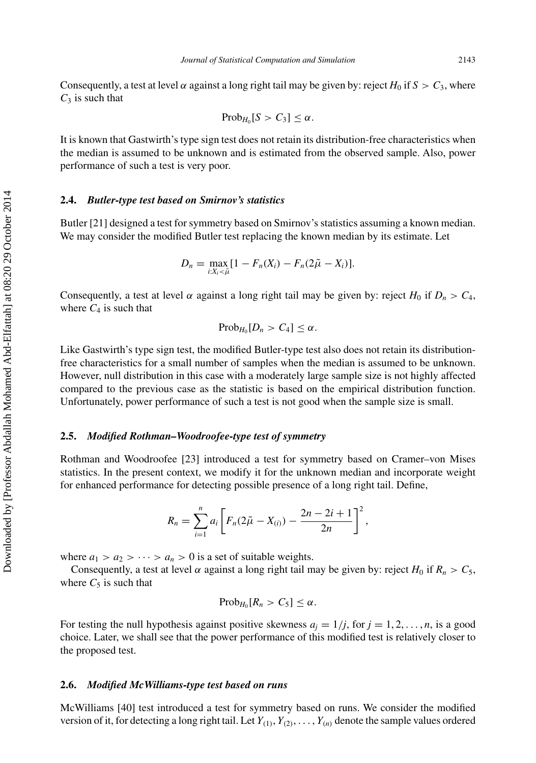Consequently, a test at level  $\alpha$  against a long right tail may be given by: reject  $H_0$  if  $S > C_3$ , where  $C_3$  is such that

$$
Prob_{H_0}[S > C_3] \leq \alpha.
$$

It is known that Gastwirth's type sign test does not retain its distribution-free characteristics when the median is assumed to be unknown and is estimated from the observed sample. Also, power performance of such a test is very poor.

## **2.4.** *Butler-type test based on Smirnov's statistics*

Butler [\[21\]](#page-18-0) designed a test for symmetry based on Smirnov's statistics assuming a known median. We may consider the modified Butler test replacing the known median by its estimate. Let

$$
D_n = \max_{i:X_i < \widetilde{\mu}} [1 - F_n(X_i) - F_n(2\widetilde{\mu} - X_i)].
$$

Consequently, a test at level  $\alpha$  against a long right tail may be given by: reject *H*<sub>0</sub> if  $D_n > C_4$ , where  $C_4$  is such that

$$
Prob_{H_0}[D_n > C_4] \leq \alpha.
$$

Like Gastwirth's type sign test, the modified Butler-type test also does not retain its distributionfree characteristics for a small number of samples when the median is assumed to be unknown. However, null distribution in this case with a moderately large sample size is not highly affected compared to the previous case as the statistic is based on the empirical distribution function. Unfortunately, power performance of such a test is not good when the sample size is small.

#### **2.5.** *Modified Rothman–Woodroofee-type test of symmetry*

Rothman and Woodroofee [\[23](#page-18-0)] introduced a test for symmetry based on Cramer–von Mises statistics. In the present context, we modify it for the unknown median and incorporate weight for enhanced performance for detecting possible presence of a long right tail. Define,

$$
R_n = \sum_{i=1}^n a_i \left[ F_n (2\tilde{\mu} - X_{(i)}) - \frac{2n-2i+1}{2n} \right]^2,
$$

where  $a_1 > a_2 > \cdots > a_n > 0$  is a set of suitable weights.

Consequently, a test at level  $\alpha$  against a long right tail may be given by: reject  $H_0$  if  $R_n > C_5$ , where  $C_5$  is such that

$$
Prob_{H_0}[R_n > C_5] \leq \alpha.
$$

For testing the null hypothesis against positive skewness  $a_j = 1/j$ , for  $j = 1, 2, \ldots, n$ , is a good choice. Later, we shall see that the power performance of this modified test is relatively closer to the proposed test.

## **2.6.** *Modified McWilliams-type test based on runs*

McWilliams [\[40](#page-18-0)] test introduced a test for symmetry based on runs. We consider the modified version of it, for detecting a long right tail. Let  $Y_{(1)}, Y_{(2)}, \ldots, Y_{(n)}$  denote the sample values ordered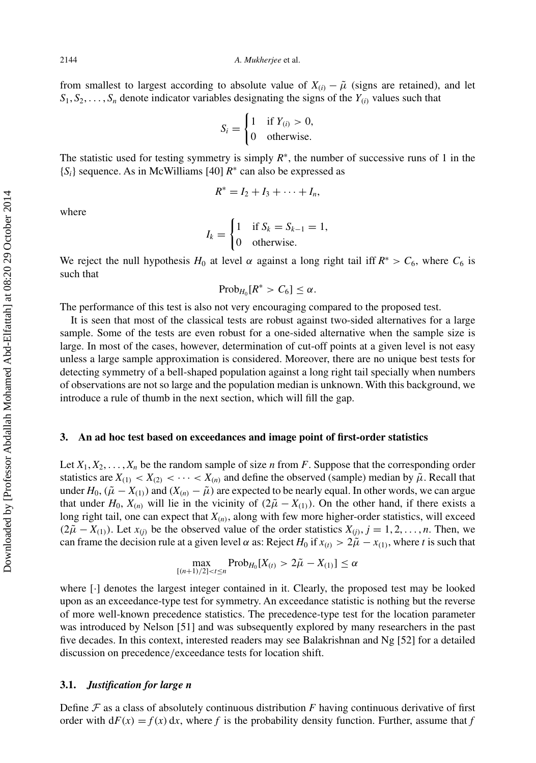#### 2144 *A. Mukherjee* et al.

from smallest to largest according to absolute value of  $X_{(i)} - \tilde{\mu}$  (signs are retained), and let  $S_1, S_2, \ldots, S_n$  denote indicator variables designating the signs of the  $Y_{(i)}$  values such that

$$
S_i = \begin{cases} 1 & \text{if } Y_{(i)} > 0, \\ 0 & \text{otherwise.} \end{cases}
$$

The statistic used for testing symmetry is simply  $R^*$ , the number of successive runs of 1 in the {*Si*} sequence. As in McWilliams [\[40\]](#page-18-0) *R*<sup>∗</sup> can also be expressed as

$$
R^* = I_2 + I_3 + \cdots + I_n,
$$

where

$$
I_k = \begin{cases} 1 & \text{if } S_k = S_{k-1} = 1, \\ 0 & \text{otherwise.} \end{cases}
$$

We reject the null hypothesis  $H_0$  at level  $\alpha$  against a long right tail iff  $R^* > C_6$ , where  $C_6$  is such that

 $Prob_{H_0}[R^* > C_6] \leq \alpha$ .

The performance of this test is also not very encouraging compared to the proposed test.

It is seen that most of the classical tests are robust against two-sided alternatives for a large sample. Some of the tests are even robust for a one-sided alternative when the sample size is large. In most of the cases, however, determination of cut-off points at a given level is not easy unless a large sample approximation is considered. Moreover, there are no unique best tests for detecting symmetry of a bell-shaped population against a long right tail specially when numbers of observations are not so large and the population median is unknown. With this background, we introduce a rule of thumb in the next section, which will fill the gap.

#### **3. An ad hoc test based on exceedances and image point of first-order statistics**

Let  $X_1, X_2, \ldots, X_n$  be the random sample of size *n* from *F*. Suppose that the corresponding order statistics are  $X_{(1)} < X_{(2)} < \cdots < X_{(n)}$  and define the observed (sample) median by  $\tilde{\mu}$ . Recall that under  $H_0$ ,  $(\tilde{\mu} - X_{(1)})$  and  $(X_{(n)} - \tilde{\mu})$  are expected to be nearly equal. In other words, we can argue that under  $H_0$ ,  $X_{(n)}$  will lie in the vicinity of  $(2\tilde{\mu} - X_{(1)})$ . On the other hand, if there exists a long right tail, one can expect that  $X_{(n)}$ , along with few more higher-order statistics, will exceed  $(2\tilde{\mu} - X_{(1)})$ . Let  $x_{(j)}$  be the observed value of the order statistics  $X_{(j)}$ ,  $j = 1, 2, \ldots, n$ . Then, we can frame the decision rule at a given level  $\alpha$  as: Reject  $H_0$  if  $x_{(t)} > 2\tilde{\mu} - x_{(1)}$ , where *t* is such that

$$
\max_{[(n+1)/2] < t \le n} \text{Prob}_{H_0}[X_{(t)} > 2\tilde{\mu} - X_{(1)}] \le \alpha
$$

where [·] denotes the largest integer contained in it. Clearly, the proposed test may be looked upon as an exceedance-type test for symmetry. An exceedance statistic is nothing but the reverse of more well-known precedence statistics. The precedence-type test for the location parameter was introduced by Nelson [\[51](#page-19-0)] and was subsequently explored by many researchers in the past five decades. In this context, interested readers may see Balakrishnan and Ng [\[52](#page-19-0)] for a detailed discussion on precedence*/*exceedance tests for location shift.

# **3.1.** *Justification for large n*

Define  $\mathcal F$  as a class of absolutely continuous distribution  $F$  having continuous derivative of first order with  $dF(x) = f(x) dx$ , where *f* is the probability density function. Further, assume that *f*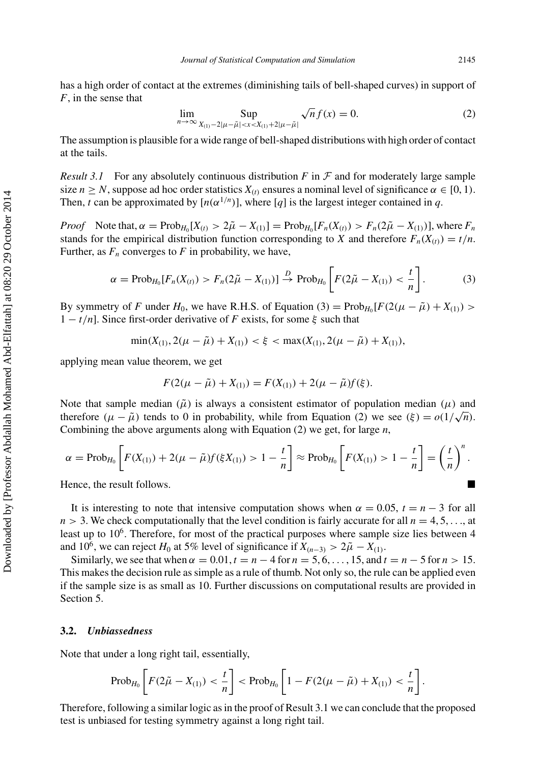has a high order of contact at the extremes (diminishing tails of bell-shaped curves) in support of *F*, in the sense that

$$
\lim_{n \to \infty} \sup_{X_{(1)} - 2|\mu - \tilde{\mu}| < x < X_{(1)} + 2|\mu - \tilde{\mu}|} \sqrt{n} f(x) = 0. \tag{2}
$$

The assumption is plausible for a wide range of bell-shaped distributions with high order of contact at the tails.

*Result 3.1* For any absolutely continuous distribution  $F$  in  $\mathcal F$  and for moderately large sample size  $n \geq N$ , suppose ad hoc order statistics  $X_{(t)}$  ensures a nominal level of significance  $\alpha \in [0, 1)$ . Then, *t* can be approximated by  $[n(\alpha^{1/n})]$ , where [*q*] is the largest integer contained in *q*.

*Proof* Note that,  $\alpha = \text{Prob}_{H_0}[X_{(t)} > 2\tilde{\mu} - X_{(1)}] = \text{Prob}_{H_0}[F_n(X_{(t)}) > F_n(2\tilde{\mu} - X_{(1)})]$ , where  $F_n$ stands for the empirical distribution function corresponding to *X* and therefore  $F_n(X_{(i)}) = t/n$ . Further, as  $F_n$  converges to  $F$  in probability, we have,

$$
\alpha = \text{Prob}_{H_0}[F_n(X_{(t)}) > F_n(2\tilde{\mu} - X_{(1)})] \xrightarrow{D} \text{Prob}_{H_0}\left[F(2\tilde{\mu} - X_{(1)}) < \frac{t}{n}\right].\tag{3}
$$

By symmetry of *F* under  $H_0$ , we have R.H.S. of Equation (3) =  $\text{Prob}_{H_0}[F(2(\mu - \tilde{\mu}) + X_{(1)})$  > 1 − *t/n*]. Since first-order derivative of *F* exists, for some *ξ* such that

$$
\min(X_{(1)}, 2(\mu - \tilde{\mu}) + X_{(1)}) < \xi < \max(X_{(1)}, 2(\mu - \tilde{\mu}) + X_{(1)}),
$$

applying mean value theorem, we get

$$
F(2(\mu - \tilde{\mu}) + X_{(1)}) = F(X_{(1)}) + 2(\mu - \tilde{\mu})f(\xi).
$$

Note that sample median  $(\tilde{\mu})$  is always a consistent estimator of population median  $(\mu)$  and therefore  $(\mu - \tilde{\mu})$  tends to 0 in probability, while from Equation (2) we see  $(\xi) = o(1/\sqrt{n})$ . Combining the above arguments along with Equation (2) we get, for large *n*,

$$
\alpha = \text{Prob}_{H_0} \left[ F(X_{(1)}) + 2(\mu - \tilde{\mu}) f(\xi X_{(1)}) > 1 - \frac{t}{n} \right] \approx \text{Prob}_{H_0} \left[ F(X_{(1)}) > 1 - \frac{t}{n} \right] = \left( \frac{t}{n} \right)^n.
$$

Hence, the result follows.

It is interesting to note that intensive computation shows when  $\alpha = 0.05$ ,  $t = n - 3$  for all  $n > 3$ . We check computationally that the level condition is fairly accurate for all  $n = 4, 5, \ldots$ , at least up to  $10<sup>6</sup>$ . Therefore, for most of the practical purposes where sample size lies between  $4$ and 10<sup>6</sup>, we can reject *H*<sub>0</sub> at 5% level of significance if  $X_{(n-3)} > 2\tilde{\mu} - X_{(1)}$ .

Similarly, we see that when  $\alpha = 0.01$ ,  $t = n - 4$  for  $n = 5, 6, \ldots, 15$ , and  $t = n - 5$  for  $n > 15$ . This makes the decision rule as simple as a rule of thumb. Not only so, the rule can be applied even if the sample size is as small as 10. Further discussions on computational results are provided in Section 5.

#### **3.2.** *Unbiassedness*

Note that under a long right tail, essentially,

$$
\mathrm{Prob}_{H_0}\left[F(2\tilde{\mu}-X_{(1)}) < \frac{t}{n}\right] < \mathrm{Prob}_{H_0}\left[1 - F(2(\mu-\tilde{\mu}) + X_{(1)}) < \frac{t}{n}\right].
$$

Therefore, following a similar logic as in the proof of Result 3.1 we can conclude that the proposed test is unbiased for testing symmetry against a long right tail.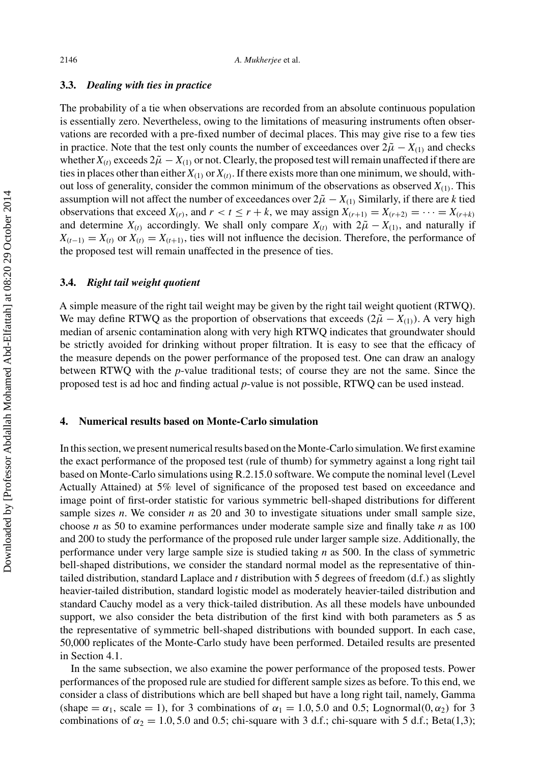### **3.3.** *Dealing with ties in practice*

The probability of a tie when observations are recorded from an absolute continuous population is essentially zero. Nevertheless, owing to the limitations of measuring instruments often observations are recorded with a pre-fixed number of decimal places. This may give rise to a few ties in practice. Note that the test only counts the number of exceedances over  $2\tilde{\mu} - X_{(1)}$  and checks whether  $X_{(t)}$  exceeds  $2\tilde{\mu} - X_{(1)}$  or not. Clearly, the proposed test will remain unaffected if there are ties in places other than either  $X_{(1)}$  or  $X_{(i)}$ . If there exists more than one minimum, we should, without loss of generality, consider the common minimum of the observations as observed  $X_{(1)}$ . This assumption will not affect the number of exceedances over  $2\tilde{\mu} - X_{(1)}$  Similarly, if there are *k* tied observations that exceed  $X_{(r)}$ , and  $r < t \le r + k$ , we may assign  $X_{(r+1)} = X_{(r+2)} = \cdots = X_{(r+k)}$ and determine  $X_{(t)}$  accordingly. We shall only compare  $X_{(t)}$  with  $2\tilde{\mu} - X_{(1)}$ , and naturally if  $X_{(t-1)} = X_{(t)}$  or  $X_{(t)} = X_{(t+1)}$ , ties will not influence the decision. Therefore, the performance of the proposed test will remain unaffected in the presence of ties.

#### **3.4.** *Right tail weight quotient*

A simple measure of the right tail weight may be given by the right tail weight quotient (RTWQ). We may define RTWQ as the proportion of observations that exceeds  $(2\tilde{\mu} - X_{(1)})$ . A very high median of arsenic contamination along with very high RTWQ indicates that groundwater should be strictly avoided for drinking without proper filtration. It is easy to see that the efficacy of the measure depends on the power performance of the proposed test. One can draw an analogy between RTWQ with the *p*-value traditional tests; of course they are not the same. Since the proposed test is ad hoc and finding actual *p*-value is not possible, RTWQ can be used instead.

# **4. Numerical results based on Monte-Carlo simulation**

In this section, we present numerical results based on the Monte-Carlo simulation.We first examine the exact performance of the proposed test (rule of thumb) for symmetry against a long right tail based on Monte-Carlo simulations using R.2.15.0 software. We compute the nominal level (Level Actually Attained) at 5% level of significance of the proposed test based on exceedance and image point of first-order statistic for various symmetric bell-shaped distributions for different sample sizes *n*. We consider *n* as 20 and 30 to investigate situations under small sample size, choose *n* as 50 to examine performances under moderate sample size and finally take *n* as 100 and 200 to study the performance of the proposed rule under larger sample size. Additionally, the performance under very large sample size is studied taking *n* as 500. In the class of symmetric bell-shaped distributions, we consider the standard normal model as the representative of thintailed distribution, standard Laplace and *t* distribution with 5 degrees of freedom (d.f.) as slightly heavier-tailed distribution, standard logistic model as moderately heavier-tailed distribution and standard Cauchy model as a very thick-tailed distribution. As all these models have unbounded support, we also consider the beta distribution of the first kind with both parameters as 5 as the representative of symmetric bell-shaped distributions with bounded support. In each case, 50,000 replicates of the Monte-Carlo study have been performed. Detailed results are presented in Section 4.1.

In the same subsection, we also examine the power performance of the proposed tests. Power performances of the proposed rule are studied for different sample sizes as before. To this end, we consider a class of distributions which are bell shaped but have a long right tail, namely, Gamma (shape  $= \alpha_1$ , scale  $= 1$ ), for 3 combinations of  $\alpha_1 = 1.0, 5.0$  and 0.5; Lognormal $(0, \alpha_2)$  for 3 combinations of  $\alpha_2 = 1.0, 5.0$  and 0.5; chi-square with 3 d.f.; chi-square with 5 d.f.; Beta(1,3);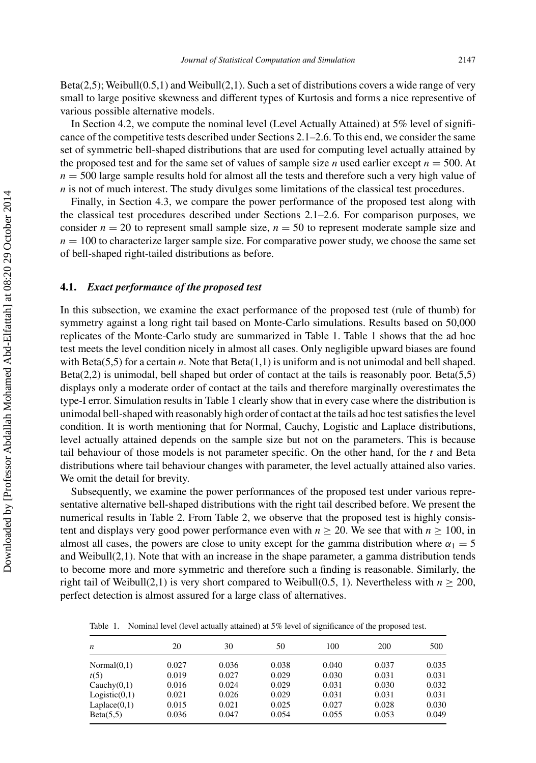Beta(2,5); Weibull(0,5,1) and Weibull(2,1). Such a set of distributions covers a wide range of very small to large positive skewness and different types of Kurtosis and forms a nice representive of various possible alternative models.

In Section 4.2, we compute the nominal level (Level Actually Attained) at 5% level of significance of the competitive tests described under Sections 2.1–2.6. To this end, we consider the same set of symmetric bell-shaped distributions that are used for computing level actually attained by the proposed test and for the same set of values of sample size *n* used earlier except  $n = 500$ . At  $n = 500$  large sample results hold for almost all the tests and therefore such a very high value of *n* is not of much interest. The study divulges some limitations of the classical test procedures.

Finally, in Section 4.3, we compare the power performance of the proposed test along with the classical test procedures described under Sections 2.1–2.6. For comparison purposes, we consider  $n = 20$  to represent small sample size,  $n = 50$  to represent moderate sample size and  $n = 100$  to characterize larger sample size. For comparative power study, we choose the same set of bell-shaped right-tailed distributions as before.

# **4.1.** *Exact performance of the proposed test*

In this subsection, we examine the exact performance of the proposed test (rule of thumb) for symmetry against a long right tail based on Monte-Carlo simulations. Results based on 50,000 replicates of the Monte-Carlo study are summarized in Table 1. Table 1 shows that the ad hoc test meets the level condition nicely in almost all cases. Only negligible upward biases are found with Beta(5,5) for a certain *n*. Note that Beta(1,1) is uniform and is not unimodal and bell shaped. Beta(2,2) is unimodal, bell shaped but order of contact at the tails is reasonably poor. Beta(5,5) displays only a moderate order of contact at the tails and therefore marginally overestimates the type-I error. Simulation results in Table 1 clearly show that in every case where the distribution is unimodal bell-shaped with reasonably high order of contact at the tails ad hoc test satisfies the level condition. It is worth mentioning that for Normal, Cauchy, Logistic and Laplace distributions, level actually attained depends on the sample size but not on the parameters. This is because tail behaviour of those models is not parameter specific. On the other hand, for the *t* and Beta distributions where tail behaviour changes with parameter, the level actually attained also varies. We omit the detail for brevity.

Subsequently, we examine the power performances of the proposed test under various representative alternative bell-shaped distributions with the right tail described before. We present the numerical results in Table [2.](#page-12-0) From Table [2,](#page-12-0) we observe that the proposed test is highly consistent and displays very good power performance even with  $n \ge 20$ . We see that with  $n \ge 100$ , in almost all cases, the powers are close to unity except for the gamma distribution where  $\alpha_1 = 5$ and Weibull $(2,1)$ . Note that with an increase in the shape parameter, a gamma distribution tends to become more and more symmetric and therefore such a finding is reasonable. Similarly, the right tail of Weibull(2,1) is very short compared to Weibull(0.5, 1). Nevertheless with  $n \ge 200$ , perfect detection is almost assured for a large class of alternatives.

Table 1. Nominal level (level actually attained) at 5% level of significance of the proposed test.

| n              | 20    | 30    | 50    | 100   | 200   | 500   |
|----------------|-------|-------|-------|-------|-------|-------|
| Normal(0,1)    | 0.027 | 0.036 | 0.038 | 0.040 | 0.037 | 0.035 |
| t(5)           | 0.019 | 0.027 | 0.029 | 0.030 | 0.031 | 0.031 |
| Cauchy $(0,1)$ | 0.016 | 0.024 | 0.029 | 0.031 | 0.030 | 0.032 |
| Logistic(0,1)  | 0.021 | 0.026 | 0.029 | 0.031 | 0.031 | 0.031 |
| Laplace(0,1)   | 0.015 | 0.021 | 0.025 | 0.027 | 0.028 | 0.030 |
| Beta(5.5)      | 0.036 | 0.047 | 0.054 | 0.055 | 0.053 | 0.049 |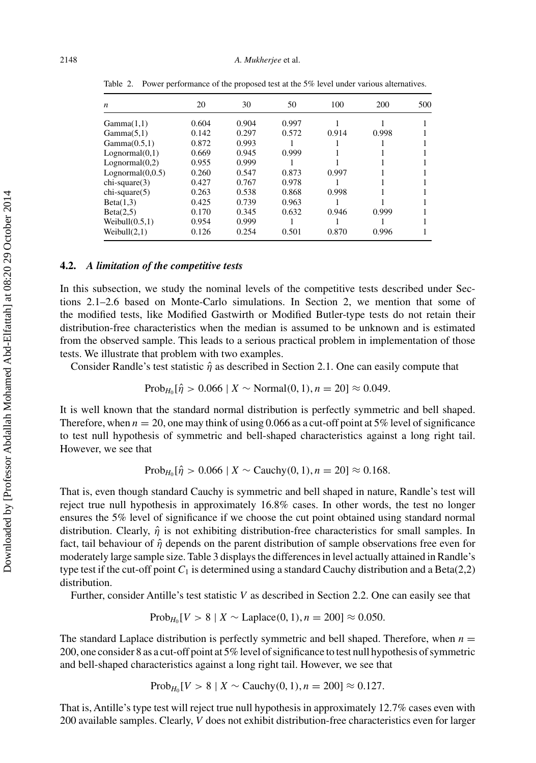| $\boldsymbol{n}$ | 20    | 30    | 50    | 100   | 200   | 500 |
|------------------|-------|-------|-------|-------|-------|-----|
| Gamma(1,1)       | 0.604 | 0.904 | 0.997 |       |       |     |
| Gamma(5,1)       | 0.142 | 0.297 | 0.572 | 0.914 | 0.998 |     |
| Gamma(0.5,1)     | 0.872 | 0.993 |       |       |       |     |
| Lognormal(0,1)   | 0.669 | 0.945 | 0.999 |       |       |     |
| Lognormal(0,2)   | 0.955 | 0.999 |       |       |       |     |
| Lognormal(0,0.5) | 0.260 | 0.547 | 0.873 | 0.997 |       |     |
| $chi-square(3)$  | 0.427 | 0.767 | 0.978 |       |       |     |
| $chi-square(5)$  | 0.263 | 0.538 | 0.868 | 0.998 |       |     |
| Beta(1,3)        | 0.425 | 0.739 | 0.963 |       |       |     |
| Beta(2,5)        | 0.170 | 0.345 | 0.632 | 0.946 | 0.999 |     |
| Weibull(0.5,1)   | 0.954 | 0.999 |       |       |       |     |
| Weibull $(2,1)$  | 0.126 | 0.254 | 0.501 | 0.870 | 0.996 |     |

<span id="page-12-0"></span>Table 2. Power performance of the proposed test at the 5% level under various alternatives.

#### **4.2.** *A limitation of the competitive tests*

In this subsection, we study the nominal levels of the competitive tests described under Sections 2.1–2.6 based on Monte-Carlo simulations. In Section 2, we mention that some of the modified tests, like Modified Gastwirth or Modified Butler-type tests do not retain their distribution-free characteristics when the median is assumed to be unknown and is estimated from the observed sample. This leads to a serious practical problem in implementation of those tests. We illustrate that problem with two examples.

Consider Randle's test statistic  $\hat{\eta}$  as described in Section 2.1. One can easily compute that

$$
Prob_{H_0}[\hat{\eta} > 0.066 \mid X \sim \text{Normal}(0, 1), n = 20] \approx 0.049.
$$

It is well known that the standard normal distribution is perfectly symmetric and bell shaped. Therefore, when  $n = 20$ , one may think of using 0.066 as a cut-off point at 5% level of significance to test null hypothesis of symmetric and bell-shaped characteristics against a long right tail. However, we see that

$$
Prob_{H_0}[\hat{\eta} > 0.066 \mid X \sim Cauchy(0, 1), n = 20] \approx 0.168.
$$

That is, even though standard Cauchy is symmetric and bell shaped in nature, Randle's test will reject true null hypothesis in approximately 16.8% cases. In other words, the test no longer ensures the 5% level of significance if we choose the cut point obtained using standard normal distribution. Clearly,  $\hat{\eta}$  is not exhibiting distribution-free characteristics for small samples. In fact, tail behaviour of *η*ˆ depends on the parent distribution of sample observations free even for moderately large sample size. Table [3](#page-13-0) displays the differences in level actually attained in Randle's type test if the cut-off point  $C_1$  is determined using a standard Cauchy distribution and a Beta(2,2) distribution.

Further, consider Antille's test statistic *V* as described in Section 2.2. One can easily see that

$$
Prob_{H_0}[V > 8 \mid X \sim Laplace(0, 1), n = 200] \approx 0.050.
$$

The standard Laplace distribution is perfectly symmetric and bell shaped. Therefore, when  $n =$ 200, one consider 8 as a cut-off point at 5% level of significance to test null hypothesis of symmetric and bell-shaped characteristics against a long right tail. However, we see that

$$
Prob_{H_0}[V > 8 \mid X \sim Cauchy(0, 1), n = 200] \approx 0.127.
$$

That is, Antille's type test will reject true null hypothesis in approximately 12.7% cases even with 200 available samples. Clearly, *V* does not exhibit distribution-free characteristics even for larger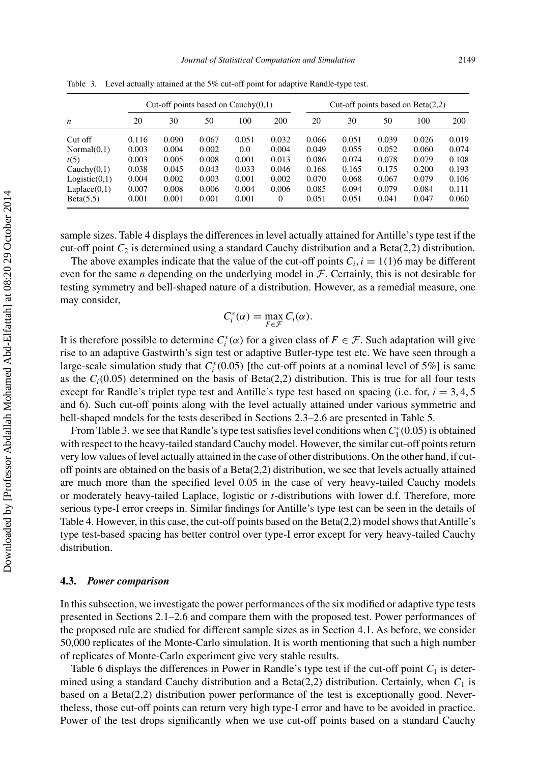| Cut-off points based on $Cauchy(0,1)$ |       |       |       |       |       | Cut-off points based on $Beta(2,2)$ |       |       |       |       |  |
|---------------------------------------|-------|-------|-------|-------|-------|-------------------------------------|-------|-------|-------|-------|--|
| n                                     | 20    | 30    | 50    | 100   | 200   | 20                                  | 30    | 50    | 100   | 200   |  |
| Cut off                               | 0.116 | 0.090 | 0.067 | 0.051 | 0.032 | 0.066                               | 0.051 | 0.039 | 0.026 | 0.019 |  |
| Normal(0,1)                           | 0.003 | 0.004 | 0.002 | 0.0   | 0.004 | 0.049                               | 0.055 | 0.052 | 0.060 | 0.074 |  |
| t(5)                                  | 0.003 | 0.005 | 0.008 | 0.001 | 0.013 | 0.086                               | 0.074 | 0.078 | 0.079 | 0.108 |  |
| Cauchy(0,1)                           | 0.038 | 0.045 | 0.043 | 0.033 | 0.046 | 0.168                               | 0.165 | 0.175 | 0.200 | 0.193 |  |
| Logistic(0,1)                         | 0.004 | 0.002 | 0.003 | 0.001 | 0.002 | 0.070                               | 0.068 | 0.067 | 0.079 | 0.106 |  |
| Laplace(0,1)                          | 0.007 | 0.008 | 0.006 | 0.004 | 0.006 | 0.085                               | 0.094 | 0.079 | 0.084 | 0.111 |  |
| Beta(5.5)                             | 0.001 | 0.001 | 0.001 | 0.001 | 0     | 0.051                               | 0.051 | 0.041 | 0.047 | 0.060 |  |

<span id="page-13-0"></span>Table 3. Level actually attained at the 5% cut-off point for adaptive Randle-type test.

sample sizes. Table [4](#page-14-0) displays the differences in level actually attained for Antille's type test if the cut-off point *C*<sup>2</sup> is determined using a standard Cauchy distribution and a Beta(2,2) distribution.

The above examples indicate that the value of the cut-off points  $C_i$ ,  $i = 1(1)6$  may be different even for the same *n* depending on the underlying model in  $F$ . Certainly, this is not desirable for testing symmetry and bell-shaped nature of a distribution. However, as a remedial measure, one may consider,

$$
C_i^*(\alpha) = \max_{F \in \mathcal{F}} C_i(\alpha).
$$

It is therefore possible to determine  $C_i^*(\alpha)$  for a given class of  $F \in \mathcal{F}$ . Such adaptation will give rise to an adaptive Gastwirth's sign test or adaptive Butler-type test etc. We have seen through a large-scale simulation study that  $C_i^*(0.05)$  [the cut-off points at a nominal level of 5%] is same as the  $C_i(0.05)$  determined on the basis of Beta(2,2) distribution. This is true for all four tests except for Randle's triplet type test and Antille's type test based on spacing (i.e. for,  $i = 3, 4, 5$ ) and 6). Such cut-off points along with the level actually attained under various symmetric and bell-shaped models for the tests described in Sections 2.3–2.6 are presented in Table [5.](#page-14-0)

From Table 3. we see that Randle's type test satisfies level conditions when *C*<sup>∗</sup> <sup>1</sup> *(*0.05*)*is obtained with respect to the heavy-tailed standard Cauchy model. However, the similar cut-off points return very low values of level actually attained in the case of other distributions. On the other hand, if cutoff points are obtained on the basis of a Beta(2,2) distribution, we see that levels actually attained are much more than the specified level 0.05 in the case of very heavy-tailed Cauchy models or moderately heavy-tailed Laplace, logistic or *t*-distributions with lower d.f. Therefore, more serious type-I error creeps in. Similar findings for Antille's type test can be seen in the details of Table [4.](#page-14-0) However, in this case, the cut-off points based on the Beta(2,2) model shows that Antille's type test-based spacing has better control over type-I error except for very heavy-tailed Cauchy distribution.

#### **4.3.** *Power comparison*

In this subsection, we investigate the power performances of the six modified or adaptive type tests presented in Sections 2.1–2.6 and compare them with the proposed test. Power performances of the proposed rule are studied for different sample sizes as in Section 4.1. As before, we consider 50,000 replicates of the Monte-Carlo simulation. It is worth mentioning that such a high number of replicates of Monte-Carlo experiment give very stable results.

Table [6](#page-14-0) displays the differences in Power in Randle's type test if the cut-off point  $C_1$  is determined using a standard Cauchy distribution and a Beta(2,2) distribution. Certainly, when  $C_1$  is based on a Beta(2,2) distribution power performance of the test is exceptionally good. Nevertheless, those cut-off points can return very high type-I error and have to be avoided in practice. Power of the test drops significantly when we use cut-off points based on a standard Cauchy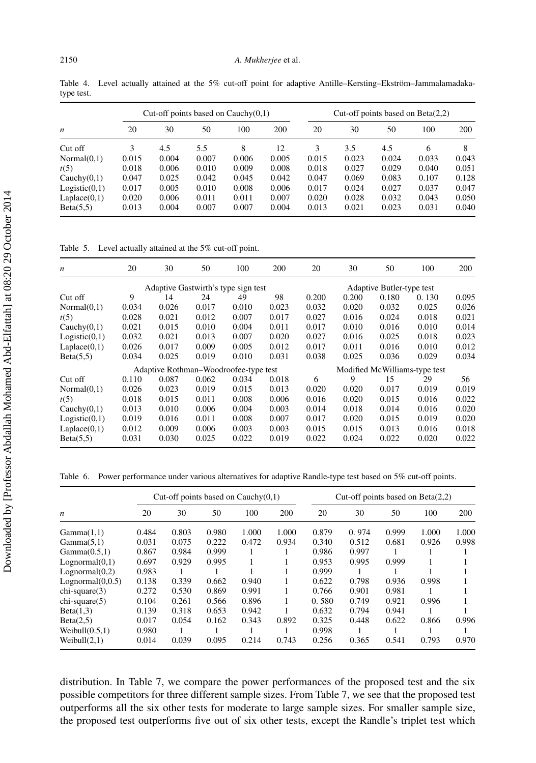<span id="page-14-0"></span>Table 4. Level actually attained at the 5% cut-off point for adaptive Antille–Kersting–Ekström–Jammalamadakatype test.

|                  |       |       | Cut-off points based on $Cauchy(0,1)$ |       |       | Cut-off points based on $Beta(2,2)$ |       |       |       |       |
|------------------|-------|-------|---------------------------------------|-------|-------|-------------------------------------|-------|-------|-------|-------|
| $\boldsymbol{n}$ | 20    | 30    | 50                                    | 100   | 200   | 20                                  | 30    | 50    | 100   | 200   |
| Cut off          | 3     | 4.5   | 5.5                                   | 8     | 12    | 3                                   | 3.5   | 4.5   | 6     | 8     |
| Normal(0,1)      | 0.015 | 0.004 | 0.007                                 | 0.006 | 0.005 | 0.015                               | 0.023 | 0.024 | 0.033 | 0.043 |
| t(5)             | 0.018 | 0.006 | 0.010                                 | 0.009 | 0.008 | 0.018                               | 0.027 | 0.029 | 0.040 | 0.051 |
| Cauchy $(0,1)$   | 0.047 | 0.025 | 0.042                                 | 0.045 | 0.042 | 0.047                               | 0.069 | 0.083 | 0.107 | 0.128 |
| Logistic(0,1)    | 0.017 | 0.005 | 0.010                                 | 0.008 | 0.006 | 0.017                               | 0.024 | 0.027 | 0.037 | 0.047 |
| Laplace(0,1)     | 0.020 | 0.006 | 0.011                                 | 0.011 | 0.007 | 0.020                               | 0.028 | 0.032 | 0.043 | 0.050 |
| Beta(5.5)        | 0.013 | 0.004 | 0.007                                 | 0.007 | 0.004 | 0.013                               | 0.021 | 0.023 | 0.031 | 0.040 |

Table 5. Level actually attained at the 5% cut-off point.

| n              | 20    | 30                                    | 50    | 100   | 200   | 20                            | 30    | 50                        | 100   | 200   |
|----------------|-------|---------------------------------------|-------|-------|-------|-------------------------------|-------|---------------------------|-------|-------|
|                |       | Adaptive Gastwirth's type sign test   |       |       |       |                               |       | Adaptive Butler-type test |       |       |
| Cut off        | 9     | 14                                    | 24    | 49    | 98    | 0.200                         | 0.200 | 0.180                     | 0.130 | 0.095 |
| Normal(0,1)    | 0.034 | 0.026                                 | 0.017 | 0.010 | 0.023 | 0.032                         | 0.020 | 0.032                     | 0.025 | 0.026 |
| t(5)           | 0.028 | 0.021                                 | 0.012 | 0.007 | 0.017 | 0.027                         | 0.016 | 0.024                     | 0.018 | 0.021 |
| Cauchy $(0,1)$ | 0.021 | 0.015                                 | 0.010 | 0.004 | 0.011 | 0.017                         | 0.010 | 0.016                     | 0.010 | 0.014 |
| Logistic(0,1)  | 0.032 | 0.021                                 | 0.013 | 0.007 | 0.020 | 0.027                         | 0.016 | 0.025                     | 0.018 | 0.023 |
| Laplace(0,1)   | 0.026 | 0.017                                 | 0.009 | 0.005 | 0.012 | 0.017                         | 0.011 | 0.016                     | 0.010 | 0.012 |
| Beta(5.5)      | 0.034 | 0.025                                 | 0.019 | 0.010 | 0.031 | 0.038                         | 0.025 | 0.036                     | 0.029 | 0.034 |
|                |       | Adaptive Rothman–Woodroofee-type test |       |       |       | Modified McWilliams-type test |       |                           |       |       |
| Cut off        | 0.110 | 0.087                                 | 0.062 | 0.034 | 0.018 | 6                             | 9     | 15                        | 29    | 56    |
| Normal(0,1)    | 0.026 | 0.023                                 | 0.019 | 0.015 | 0.013 | 0.020                         | 0.020 | 0.017                     | 0.019 | 0.019 |
| t(5)           | 0.018 | 0.015                                 | 0.011 | 0.008 | 0.006 | 0.016                         | 0.020 | 0.015                     | 0.016 | 0.022 |
| Cauchy $(0,1)$ | 0.013 | 0.010                                 | 0.006 | 0.004 | 0.003 | 0.014                         | 0.018 | 0.014                     | 0.016 | 0.020 |
| Logistic(0,1)  | 0.019 | 0.016                                 | 0.011 | 0.008 | 0.007 | 0.017                         | 0.020 | 0.015                     | 0.019 | 0.020 |
| Laplace(0,1)   | 0.012 | 0.009                                 | 0.006 | 0.003 | 0.003 | 0.015                         | 0.015 | 0.013                     | 0.016 | 0.018 |
| Beta(5.5)      | 0.031 | 0.030                                 | 0.025 | 0.022 | 0.019 | 0.022                         | 0.024 | 0.022                     | 0.020 | 0.022 |

Table 6. Power performance under various alternatives for adaptive Randle-type test based on 5% cut-off points.

|                   |       |       |       | Cut-off points based on $Cauchy(0,1)$ |       | Cut-off points based on $Beta(2,2)$ |       |       |       |       |  |
|-------------------|-------|-------|-------|---------------------------------------|-------|-------------------------------------|-------|-------|-------|-------|--|
| n                 | 20    | 30    | 50    | 100                                   | 200   | 20                                  | 30    | 50    | 100   | 200   |  |
| Gamma(1.1)        | 0.484 | 0.803 | 0.980 | 1.000                                 | 1.000 | 0.879                               | 0.974 | 0.999 | 1.000 | 1.000 |  |
| Gamma(5,1)        | 0.031 | 0.075 | 0.222 | 0.472                                 | 0.934 | 0.340                               | 0.512 | 0.681 | 0.926 | 0.998 |  |
| Gamma(0.5,1)      | 0.867 | 0.984 | 0.999 |                                       |       | 0.986                               | 0.997 |       |       |       |  |
| Lognormal(0,1)    | 0.697 | 0.929 | 0.995 |                                       |       | 0.953                               | 0.995 | 0.999 |       |       |  |
| Lognormal(0,2)    | 0.983 |       |       |                                       |       | 0.999                               |       |       |       |       |  |
| Lognormal(0,0.5)  | 0.138 | 0.339 | 0.662 | 0.940                                 |       | 0.622                               | 0.798 | 0.936 | 0.998 |       |  |
| $chi-square(3)$   | 0.272 | 0.530 | 0.869 | 0.991                                 |       | 0.766                               | 0.901 | 0.981 |       |       |  |
| $chi-square(5)$   | 0.104 | 0.261 | 0.566 | 0.896                                 |       | 0.580                               | 0.749 | 0.921 | 0.996 |       |  |
| Beta(1,3)         | 0.139 | 0.318 | 0.653 | 0.942                                 |       | 0.632                               | 0.794 | 0.941 |       |       |  |
| Beta(2,5)         | 0.017 | 0.054 | 0.162 | 0.343                                 | 0.892 | 0.325                               | 0.448 | 0.622 | 0.866 | 0.996 |  |
| Weibull $(0.5.1)$ | 0.980 |       |       |                                       |       | 0.998                               |       |       |       |       |  |
| Weibull $(2,1)$   | 0.014 | 0.039 | 0.095 | 0.214                                 | 0.743 | 0.256                               | 0.365 | 0.541 | 0.793 | 0.970 |  |

distribution. In Table [7,](#page-15-0) we compare the power performances of the proposed test and the six possible competitors for three different sample sizes. From Table [7,](#page-15-0) we see that the proposed test outperforms all the six other tests for moderate to large sample sizes. For smaller sample size, the proposed test outperforms five out of six other tests, except the Randle's triplet test which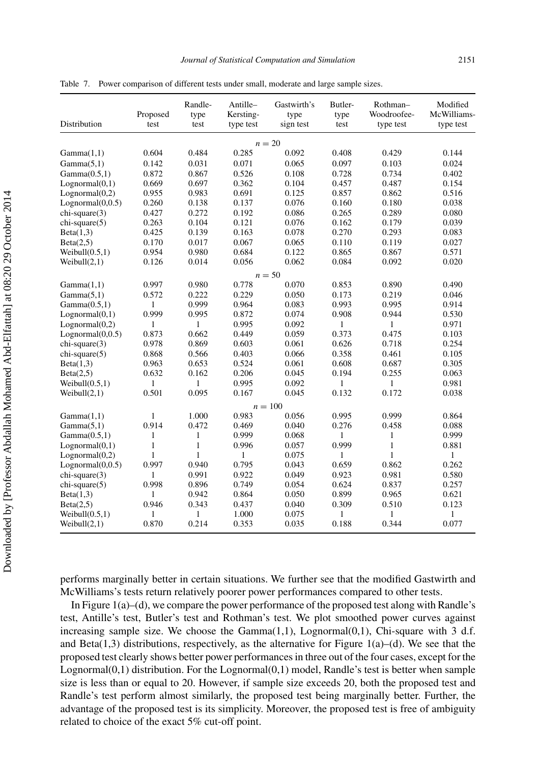| Distribution      | Proposed<br>test | Randle-<br>type<br>test | Antille-<br>Kersting-<br>type test | Gastwirth's<br>type<br>sign test | Butler-<br>type<br>test | Rothman-<br>Woodroofee-<br>type test | Modified<br>McWilliams-<br>type test |
|-------------------|------------------|-------------------------|------------------------------------|----------------------------------|-------------------------|--------------------------------------|--------------------------------------|
|                   |                  |                         |                                    | $n=20$                           |                         |                                      |                                      |
| Gamma(1,1)        | 0.604            | 0.484                   | 0.285                              | 0.092                            | 0.408                   | 0.429                                | 0.144                                |
| Gamma(5,1)        | 0.142            | 0.031                   | 0.071                              | 0.065                            | 0.097                   | 0.103                                | 0.024                                |
| Gamma(0.5,1)      | 0.872            | 0.867                   | 0.526                              | 0.108                            | 0.728                   | 0.734                                | 0.402                                |
| Lognormal(0,1)    | 0.669            | 0.697                   | 0.362                              | 0.104                            | 0.457                   | 0.487                                | 0.154                                |
| Lognormal(0,2)    | 0.955            | 0.983                   | 0.691                              | 0.125                            | 0.857                   | 0.862                                | 0.516                                |
| Lognormal(0,0.5)  | 0.260            | 0.138                   | 0.137                              | 0.076                            | 0.160                   | 0.180                                | 0.038                                |
| chi-square(3)     | 0.427            | 0.272                   | 0.192                              | 0.086                            | 0.265                   | 0.289                                | 0.080                                |
| chi-square(5)     | 0.263            | 0.104                   | 0.121                              | 0.076                            | 0.162                   | 0.179                                | 0.039                                |
| Beta(1,3)         | 0.425            | 0.139                   | 0.163                              | 0.078                            | 0.270                   | 0.293                                | 0.083                                |
| Beta(2,5)         | 0.170            | 0.017                   | 0.067                              | 0.065                            | 0.110                   | 0.119                                | 0.027                                |
| Weibull $(0.5,1)$ | 0.954            | 0.980                   | 0.684                              | 0.122                            | 0.865                   | 0.867                                | 0.571                                |
| Weibull $(2,1)$   | 0.126            | 0.014                   | 0.056                              | 0.062                            | 0.084                   | 0.092                                | 0.020                                |
|                   |                  |                         |                                    | $n = 50$                         |                         |                                      |                                      |
| Gamma(1,1)        | 0.997            | 0.980                   | 0.778                              | 0.070                            | 0.853                   | 0.890                                | 0.490                                |
| Gamma(5,1)        | 0.572            | 0.222                   | 0.229                              | 0.050                            | 0.173                   | 0.219                                | 0.046                                |
| Gamma(0.5,1)      | 1                | 0.999                   | 0.964                              | 0.083                            | 0.993                   | 0.995                                | 0.914                                |
| Lognormal(0,1)    | 0.999            | 0.995                   | 0.872                              | 0.074                            | 0.908                   | 0.944                                | 0.530                                |
| Lognormal(0,2)    | $\mathbf{1}$     | 1                       | 0.995                              | 0.092                            | $\mathbf{1}$            | $\mathbf{1}$                         | 0.971                                |
| Lognormal(0,0.5)  | 0.873            | 0.662                   | 0.449                              | 0.059                            | 0.373                   | 0.475                                | 0.103                                |
| chi-square(3)     | 0.978            | 0.869                   | 0.603                              | 0.061                            | 0.626                   | 0.718                                | 0.254                                |
| chi-square(5)     | 0.868            | 0.566                   | 0.403                              | 0.066                            | 0.358                   | 0.461                                | 0.105                                |
| Beta(1,3)         | 0.963            | 0.653                   | 0.524                              | 0.061                            | 0.608                   | 0.687                                | 0.305                                |
| Beta(2,5)         | 0.632            | 0.162                   | 0.206                              | 0.045                            | 0.194                   | 0.255                                | 0.063                                |
| Weibull(0.5,1)    | 1                | $\mathbf{1}$            | 0.995                              | 0.092                            | 1                       | 1                                    | 0.981                                |
| Weibull(2,1)      | 0.501            | 0.095                   | 0.167                              | 0.045                            | 0.132                   | 0.172                                | 0.038                                |
|                   |                  |                         |                                    | $n = 100$                        |                         |                                      |                                      |
| Gamma(1,1)        | 1                | 1.000                   | 0.983                              | 0.056                            | 0.995                   | 0.999                                | 0.864                                |
| Gamma(5,1)        | 0.914            | 0.472                   | 0.469                              | 0.040                            | 0.276                   | 0.458                                | 0.088                                |
| Gamma(0.5,1)      | 1                | 1                       | 0.999                              | 0.068                            | 1                       | 1                                    | 0.999                                |
| Lognormal(0,1)    | $\mathbf{1}$     | $\mathbf{1}$            | 0.996                              | 0.057                            | 0.999                   | $\mathbf{1}$                         | 0.881                                |
| Lognormal(0,2)    | 1                | $\mathbf{1}$            | $\mathbf{1}$                       | 0.075                            | 1                       | $\mathbf{1}$                         | 1                                    |
| Lognormal(0,0.5)  | 0.997            | 0.940                   | 0.795                              | 0.043                            | 0.659                   | 0.862                                | 0.262                                |
| chi-square(3)     | $\mathbf{1}$     | 0.991                   | 0.922                              | 0.049                            | 0.923                   | 0.981                                | 0.580                                |
| chi-square(5)     | 0.998            | 0.896                   | 0.749                              | 0.054                            | 0.624                   | 0.837                                | 0.257                                |
| Beta(1,3)         | $\mathbf{1}$     | 0.942                   | 0.864                              | 0.050                            | 0.899                   | 0.965                                | 0.621                                |
| Beta(2,5)         | 0.946            | 0.343                   | 0.437                              | 0.040                            | 0.309                   | 0.510                                | 0.123                                |
| Weibull(0.5,1)    | 1                | 1                       | 1.000                              | 0.075                            | 1                       | 1                                    | 1                                    |
| Weibull(2,1)      | 0.870            | 0.214                   | 0.353                              | 0.035                            | 0.188                   | 0.344                                | 0.077                                |

<span id="page-15-0"></span>Table 7. Power comparison of different tests under small, moderate and large sample sizes.

performs marginally better in certain situations. We further see that the modified Gastwirth and McWilliams's tests return relatively poorer power performances compared to other tests.

In Figure [1\(](#page-16-0)a)–(d), we compare the power performance of the proposed test along with Randle's test, Antille's test, Butler's test and Rothman's test. We plot smoothed power curves against increasing sample size. We choose the  $Gamma(1,1)$ , Lognormal $(0,1)$ , Chi-square with 3 d.f. and Beta(1,3) distributions, respectively, as the alternative for Figure [1\(](#page-16-0)a)–(d). We see that the proposed test clearly shows better power performances in three out of the four cases, except for the Lognormal $(0,1)$  distribution. For the Lognormal $(0,1)$  model, Randle's test is better when sample size is less than or equal to 20. However, if sample size exceeds 20, both the proposed test and Randle's test perform almost similarly, the proposed test being marginally better. Further, the advantage of the proposed test is its simplicity. Moreover, the proposed test is free of ambiguity related to choice of the exact 5% cut-off point.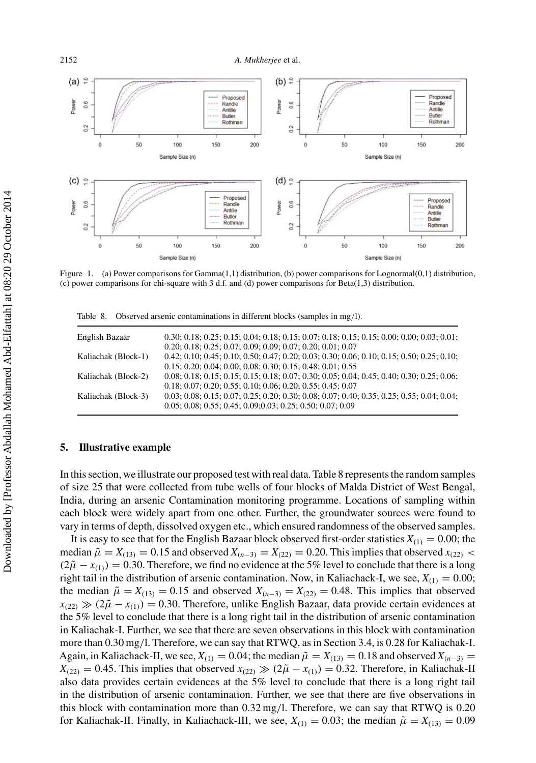<span id="page-16-0"></span>

Figure 1. (a) Power comparisons for Gamma(1,1) distribution, (b) power comparisons for Lognormal(0,1) distribution, (c) power comparisons for chi-square with 3 d.f. and (d) power comparisons for Beta(1,3) distribution.

Table 8. Observed arsenic contaminations in different blocks (samples in mg*/*l).

| English Bazaar      | $0.30; 0.18; 0.25; 0.15; 0.04; 0.18; 0.15; 0.07; 0.18; 0.15; 0.15; 0.00; 0.00; 0.03; 0.01;$                                                                 |
|---------------------|-------------------------------------------------------------------------------------------------------------------------------------------------------------|
| Kaliachak (Block-1) | $0.20; 0.18; 0.25; 0.07; 0.09; 0.09; 0.07; 0.20; 0.01; 0.07$<br>$0.42; 0.10; 0.45; 0.10; 0.50; 0.47; 0.20; 0.03; 0.30; 0.06; 0.10; 0.15; 0.50; 0.25; 0.10;$ |
| Kaliachak (Block-2) | $0.15; 0.20; 0.04; 0.00; 0.08; 0.30; 0.15; 0.48; 0.01; 0.55$<br>$0.08; 0.18; 0.15; 0.15; 0.15; 0.18; 0.07; 0.30; 0.05; 0.04; 0.45; 0.40; 0.30; 0.25; 0.06;$ |
| Kaliachak (Block-3) | $0.18; 0.07; 0.20; 0.55; 0.10; 0.06; 0.20; 0.55; 0.45; 0.07$<br>$0.03; 0.08; 0.15; 0.07; 0.25; 0.20; 0.30; 0.08; 0.07; 0.40; 0.35; 0.25; 0.55; 0.04; 0.04;$ |
|                     | $0.05; 0.08; 0.55; 0.45; 0.09; 0.03; 0.25; 0.50; 0.07; 0.09$                                                                                                |

# **5. Illustrative example**

In this section, we illustrate our proposed test with real data. Table 8 represents the random samples of size 25 that were collected from tube wells of four blocks of Malda District of West Bengal, India, during an arsenic Contamination monitoring programme. Locations of sampling within each block were widely apart from one other. Further, the groundwater sources were found to vary in terms of depth, dissolved oxygen etc., which ensured randomness of the observed samples.

It is easy to see that for the English Bazaar block observed first-order statistics  $X_{(1)} = 0.00$ ; the median  $\tilde{\mu} = X_{(13)} = 0.15$  and observed  $X_{(n-3)} = X_{(22)} = 0.20$ . This implies that observed  $x_{(22)}$  <  $(2\tilde{\mu} - x_{(1)}) = 0.30$ . Therefore, we find no evidence at the 5% level to conclude that there is a long right tail in the distribution of arsenic contamination. Now, in Kaliachack-I, we see,  $X_{(1)} = 0.00$ ; the median  $\tilde{\mu} = X_{(13)} = 0.15$  and observed  $X_{(n-3)} = X_{(22)} = 0.48$ . This implies that observed  $x_{(22)} \gg (2\tilde{\mu} - x_{(1)}) = 0.30$ . Therefore, unlike English Bazaar, data provide certain evidences at the 5% level to conclude that there is a long right tail in the distribution of arsenic contamination in Kaliachak-I. Further, we see that there are seven observations in this block with contamination more than 0.30 mg*/*l. Therefore, we can say that RTWQ, as in Section 3.4, is 0.28 for Kaliachak-I. Again, in Kaliachack-II, we see,  $X_{(1)} = 0.04$ ; the median  $\tilde{\mu} = X_{(13)} = 0.18$  and observed  $X_{(n-3)} =$  $X_{(22)} = 0.45$ . This implies that observed  $x_{(22)} \gg (2\tilde{\mu} - x_{(1)}) = 0.32$ . Therefore, in Kaliachak-II also data provides certain evidences at the 5% level to conclude that there is a long right tail in the distribution of arsenic contamination. Further, we see that there are five observations in this block with contamination more than 0.32 mg*/*l. Therefore, we can say that RTWQ is 0.20 for Kaliachak-II. Finally, in Kaliachack-III, we see,  $X_{(1)} = 0.03$ ; the median  $\tilde{\mu} = X_{(13)} = 0.09$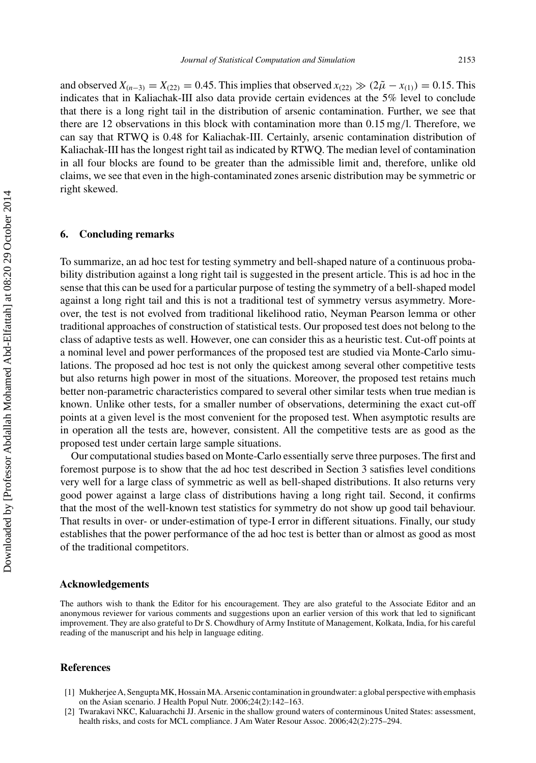<span id="page-17-0"></span>and observed  $X_{(n-3)} = X_{(22)} = 0.45$ . This implies that observed  $x_{(22)} \gg (2\tilde{\mu} - x_{(1)}) = 0.15$ . This indicates that in Kaliachak-III also data provide certain evidences at the 5% level to conclude that there is a long right tail in the distribution of arsenic contamination. Further, we see that there are 12 observations in this block with contamination more than 0.15 mg*/*l. Therefore, we can say that RTWQ is 0.48 for Kaliachak-III. Certainly, arsenic contamination distribution of Kaliachak-III has the longest right tail as indicated by RTWQ. The median level of contamination in all four blocks are found to be greater than the admissible limit and, therefore, unlike old claims, we see that even in the high-contaminated zones arsenic distribution may be symmetric or right skewed.

# **6. Concluding remarks**

To summarize, an ad hoc test for testing symmetry and bell-shaped nature of a continuous probability distribution against a long right tail is suggested in the present article. This is ad hoc in the sense that this can be used for a particular purpose of testing the symmetry of a bell-shaped model against a long right tail and this is not a traditional test of symmetry versus asymmetry. Moreover, the test is not evolved from traditional likelihood ratio, Neyman Pearson lemma or other traditional approaches of construction of statistical tests. Our proposed test does not belong to the class of adaptive tests as well. However, one can consider this as a heuristic test. Cut-off points at a nominal level and power performances of the proposed test are studied via Monte-Carlo simulations. The proposed ad hoc test is not only the quickest among several other competitive tests but also returns high power in most of the situations. Moreover, the proposed test retains much better non-parametric characteristics compared to several other similar tests when true median is known. Unlike other tests, for a smaller number of observations, determining the exact cut-off points at a given level is the most convenient for the proposed test. When asymptotic results are in operation all the tests are, however, consistent. All the competitive tests are as good as the proposed test under certain large sample situations.

Our computational studies based on Monte-Carlo essentially serve three purposes. The first and foremost purpose is to show that the ad hoc test described in Section 3 satisfies level conditions very well for a large class of symmetric as well as bell-shaped distributions. It also returns very good power against a large class of distributions having a long right tail. Second, it confirms that the most of the well-known test statistics for symmetry do not show up good tail behaviour. That results in over- or under-estimation of type-I error in different situations. Finally, our study establishes that the power performance of the ad hoc test is better than or almost as good as most of the traditional competitors.

#### **Acknowledgements**

The authors wish to thank the Editor for his encouragement. They are also grateful to the Associate Editor and an anonymous reviewer for various comments and suggestions upon an earlier version of this work that led to significant improvement. They are also grateful to Dr S. Chowdhury of Army Institute of Management, Kolkata, India, for his careful reading of the manuscript and his help in language editing.

#### **References**

- [1] MukherjeeA, Sengupta MK, Hossain MA.Arsenic contamination in groundwater: a global perspective with emphasis on the Asian scenario. J Health Popul Nutr. 2006;24(2):142–163.
- [2] Twarakavi NKC, Kaluarachchi JJ. Arsenic in the shallow ground waters of conterminous United States: assessment, health risks, and costs for MCL compliance. J Am Water Resour Assoc. 2006;42(2):275–294.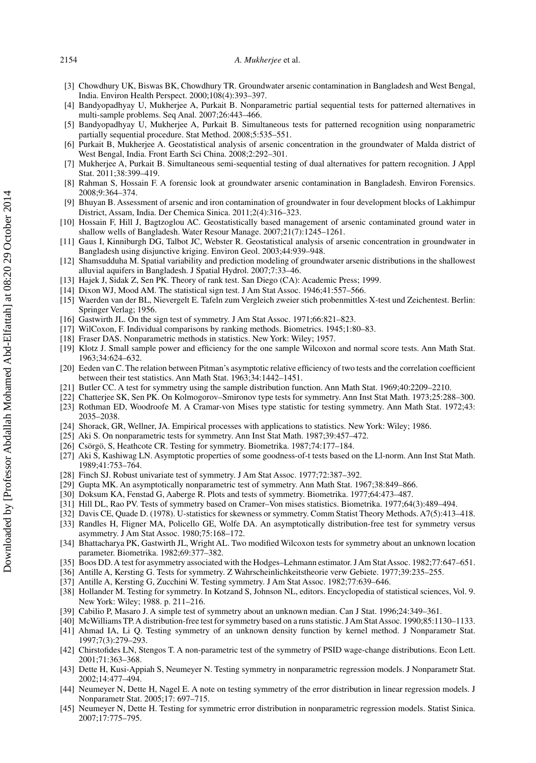#### <span id="page-18-0"></span>2154 *A. Mukherjee* et al.

- [3] Chowdhury UK, Biswas BK, Chowdhury TR. Groundwater arsenic contamination in Bangladesh and West Bengal, India. Environ Health Perspect. 2000;108(4):393–397.
- [4] Bandyopadhyay U, Mukherjee A, Purkait B. Nonparametric partial sequential tests for patterned alternatives in multi-sample problems. Seq Anal. 2007;26:443–466.
- [5] Bandyopadhyay U, Mukherjee A, Purkait B. Simultaneous tests for patterned recognition using nonparametric partially sequential procedure. Stat Method. 2008;5:535–551.
- [6] Purkait B, Mukherjee A. Geostatistical analysis of arsenic concentration in the groundwater of Malda district of West Bengal, India. Front Earth Sci China. 2008;2:292–301.
- [7] Mukherjee A, Purkait B. Simultaneous semi-sequential testing of dual alternatives for pattern recognition. J Appl Stat. 2011;38:399–419.
- [8] Rahman S, Hossain F. A forensic look at groundwater arsenic contamination in Bangladesh. Environ Forensics. 2008;9:364–374.
- [9] Bhuyan B. Assessment of arsenic and iron contamination of groundwater in four development blocks of Lakhimpur District, Assam, India. Der Chemica Sinica. 2011;2(4):316–323.
- Hossain F, Hill J, Bagtzoglou AC. Geostatistically based management of arsenic contaminated ground water in shallow wells of Bangladesh. Water Resour Manage. 2007;21(7):1245–1261.
- [11] Gaus I, Kinniburgh DG, Talbot JC, Webster R. Geostatistical analysis of arsenic concentration in groundwater in Bangladesh using disjunctive kriging. Environ Geol. 2003;44:939–948.
- [12] Shamsudduha M. Spatial variability and prediction modeling of groundwater arsenic distributions in the shallowest alluvial aquifers in Bangladesh. J Spatial Hydrol. 2007;7:33–46.
- [13] Hajek J, Sidak Z, Sen PK. Theory of rank test. San Diego (CA): Academic Press; 1999.
- [14] Dixon WJ, Mood AM. The statistical sign test. J Am Stat Assoc. 1946;41:557–566.
- [15] Waerden van der BL, Nievergelt E. Tafeln zum Vergleich zweier stich probenmittles X-test und Zeichentest. Berlin: Springer Verlag; 1956.
- [16] Gastwirth JL. On the sign test of symmetry. J Am Stat Assoc. 1971;66:821–823.
- [17] WilCoxon, F. Individual comparisons by ranking methods. Biometrics. 1945;1:80–83.
- [18] Fraser DAS. Nonparametric methods in statistics. New York: Wiley; 1957.
- [19] Klotz J. Small sample power and efficiency for the one sample Wilcoxon and normal score tests. Ann Math Stat. 1963;34:624–632.
- [20] Eeden van C. The relation between Pitman's asymptotic relative efficiency of two tests and the correlation coefficient between their test statistics. Ann Math Stat. 1963;34:1442–1451.
- [21] Butler CC. A test for symmetry using the sample distribution function. Ann Math Stat. 1969;40:2209–2210.
- [22] Chatterjee SK, Sen PK. On Kolmogorov–Smironov type tests for symmetry. Ann Inst Stat Math. 1973;25:288–300.
- [23] Rothman ED, Woodroofe M. A Cramar-von Mises type statistic for testing symmetry. Ann Math Stat. 1972;43: 2035–2038.
- [24] Shorack, GR, Wellner, JA. Empirical processes with applications to statistics. New York: Wiley; 1986.
- [25] Aki S. On nonparametric tests for symmetry. Ann Inst Stat Math. 1987;39:457–472.
- [26] Csörgö, S, Heathcote CR. Testing for symmetry. Biometrika. 1987;74:177–184.
- [27] Aki S, Kashiwag LN. Asymptotic properties of some goodness-of-t tests based on the Ll-norm. Ann Inst Stat Math. 1989;41:753–764.
- [28] Finch SJ. Robust univariate test of symmetry. J Am Stat Assoc. 1977;72:387–392.
- [29] Gupta MK. An asymptotically nonparametric test of symmetry. Ann Math Stat. 1967;38:849–866.
- [30] Doksum KA, Fenstad G, Aaberge R. Plots and tests of symmetry. Biometrika. 1977;64:473–487.
- [31] Hill DL, Rao PV. Tests of symmetry based on Cramer–Von mises statistics. Biometrika. 1977;64(3):489–494.
- [32] Davis CE, Quade D. (1978). U-statistics for skewness or symmetry. Comm Statist Theory Methods. A7(5):413–418.
- [33] Randles H, Fligner MA, Policello GE, Wolfe DA. An asymptotically distribution-free test for symmetry versus asymmetry. J Am Stat Assoc. 1980;75:168–172.
- [34] Bhattacharya PK, Gastwirth JL, Wright AL. Two modified Wilcoxon tests for symmetry about an unknown location parameter. Biometrika. 1982;69:377–382.
- [35] Boos DD. A test for asymmetry associated with the Hodges–Lehmann estimator. J Am Stat Assoc. 1982;77:647–651.
- [36] Antille A, Kersting G. Tests for symmetry. Z Wahrscheinlichkeitstheorie verw Gebiete. 1977;39:235–255.
- [37] Antille A, Kersting G, Zucchini W. Testing symmetry. J Am Stat Assoc. 1982;77:639–646.
- [38] Hollander M. Testing for symmetry. In Kotzand S, Johnson NL, editors. Encyclopedia of statistical sciences, Vol. 9. New York: Wiley; 1988. p. 211–216.
- [39] Cabilio P, Masaro J. A simple test of symmetry about an unknown median. Can J Stat. 1996;24:349–361.
- [40] McWilliams TP.A distribution-free test for symmetry based on a runs statistic. JAm StatAssoc. 1990;85:1130–1133.
- [41] Ahmad IA, Li Q. Testing symmetry of an unknown density function by kernel method. J Nonparametr Stat. 1997;7(3):279–293.
- [42] Chirstofides LN, Stengos T. A non-parametric test of the symmetry of PSID wage-change distributions. Econ Lett. 2001;71:363–368.
- [43] Dette H, Kusi-Appiah S, Neumeyer N. Testing symmetry in nonparametric regression models. J Nonparametr Stat. 2002;14:477–494.
- [44] Neumeyer N, Dette H, Nagel E. A note on testing symmetry of the error distribution in linear regression models. J Nonparametr Stat. 2005;17: 697–715.
- [45] Neumeyer N, Dette H. Testing for symmetric error distribution in nonparametric regression models. Statist Sinica. 2007;17:775–795.